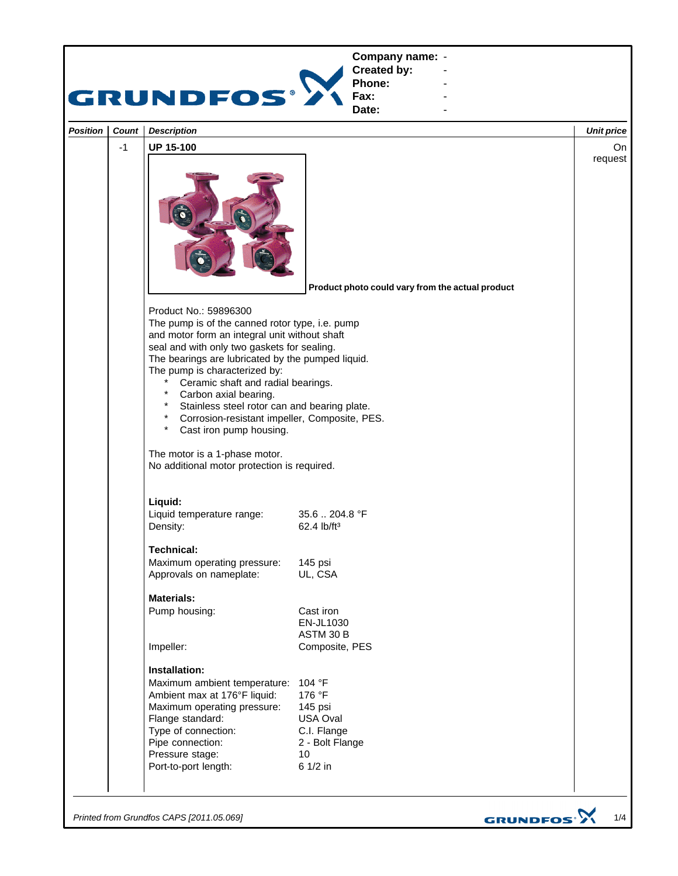

*Printed from Grundfos CAPS [2011.05.069]*

GRUNDFOS<sup>.</sup>>

1/4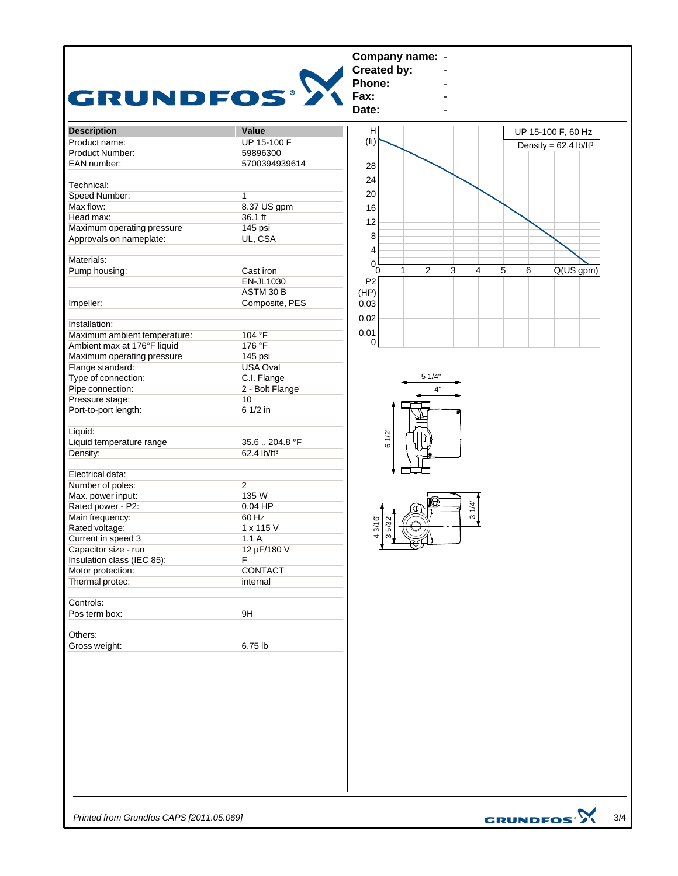

*Printed from Grundfos CAPS [2011.05.069]*

3/4